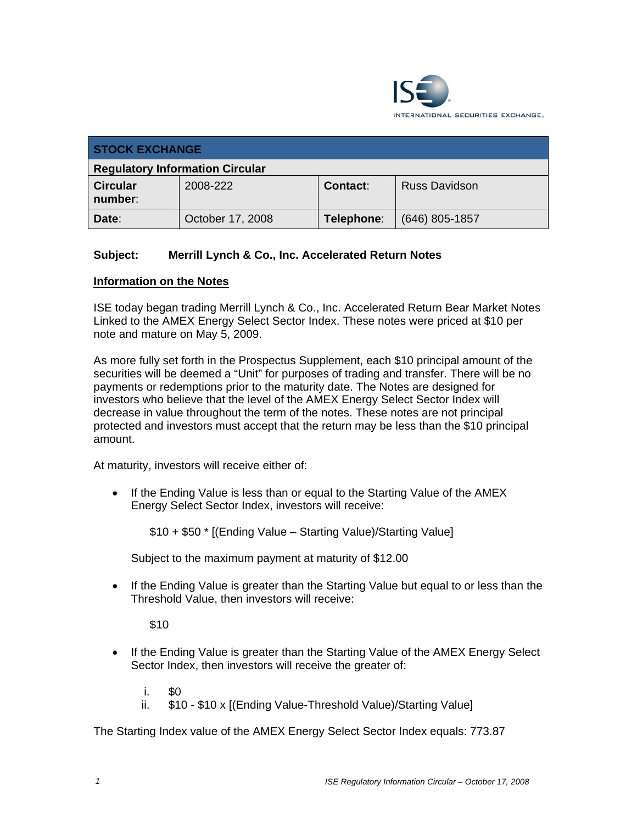

| <b>STOCK EXCHANGE</b>                  |                  |            |                      |  |  |
|----------------------------------------|------------------|------------|----------------------|--|--|
| <b>Regulatory Information Circular</b> |                  |            |                      |  |  |
| <b>Circular</b><br>number:             | 2008-222         | Contact:   | <b>Russ Davidson</b> |  |  |
| Date:                                  | October 17, 2008 | Telephone: | $(646)$ 805-1857     |  |  |

## **Subject: Merrill Lynch & Co., Inc. Accelerated Return Notes**

## **Information on the Notes**

ISE today began trading Merrill Lynch & Co., Inc. Accelerated Return Bear Market Notes Linked to the AMEX Energy Select Sector Index. These notes were priced at \$10 per note and mature on May 5, 2009.

As more fully set forth in the Prospectus Supplement, each \$10 principal amount of the securities will be deemed a "Unit" for purposes of trading and transfer. There will be no payments or redemptions prior to the maturity date. The Notes are designed for investors who believe that the level of the AMEX Energy Select Sector Index will decrease in value throughout the term of the notes. These notes are not principal protected and investors must accept that the return may be less than the \$10 principal amount.

At maturity, investors will receive either of:

• If the Ending Value is less than or equal to the Starting Value of the AMEX Energy Select Sector Index, investors will receive:

\$10 + \$50 \* [(Ending Value – Starting Value)/Starting Value]

Subject to the maximum payment at maturity of \$12.00

• If the Ending Value is greater than the Starting Value but equal to or less than the Threshold Value, then investors will receive:

\$10

- If the Ending Value is greater than the Starting Value of the AMEX Energy Select Sector Index, then investors will receive the greater of:
	- $i$ . \$0
	- ii. \$10 \$10 x [(Ending Value-Threshold Value)/Starting Value]

The Starting Index value of the AMEX Energy Select Sector Index equals: 773.87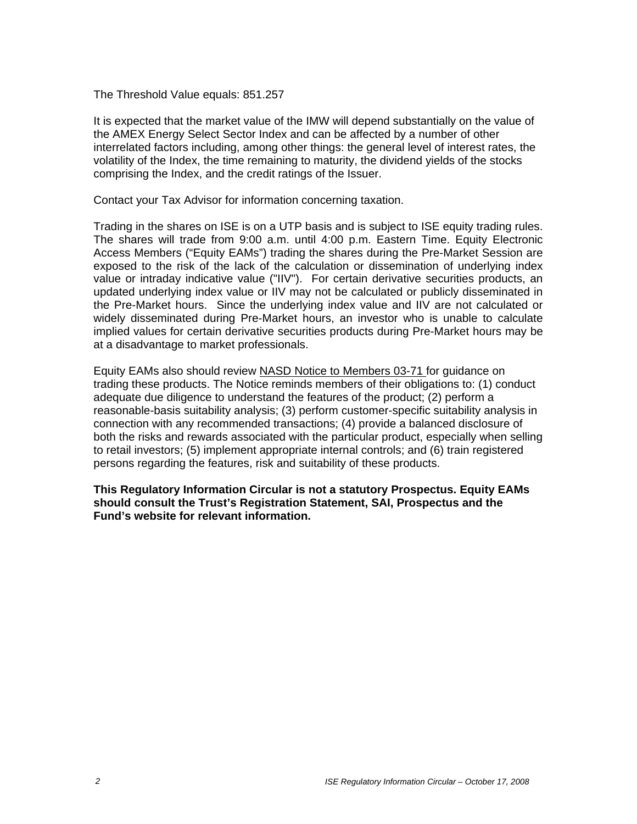The Threshold Value equals: 851.257

It is expected that the market value of the IMW will depend substantially on the value of the AMEX Energy Select Sector Index and can be affected by a number of other interrelated factors including, among other things: the general level of interest rates, the volatility of the Index, the time remaining to maturity, the dividend yields of the stocks comprising the Index, and the credit ratings of the Issuer.

Contact your Tax Advisor for information concerning taxation.

Trading in the shares on ISE is on a UTP basis and is subject to ISE equity trading rules. The shares will trade from 9:00 a.m. until 4:00 p.m. Eastern Time. Equity Electronic Access Members ("Equity EAMs") trading the shares during the Pre-Market Session are exposed to the risk of the lack of the calculation or dissemination of underlying index value or intraday indicative value ("IIV"). For certain derivative securities products, an updated underlying index value or IIV may not be calculated or publicly disseminated in the Pre-Market hours. Since the underlying index value and IIV are not calculated or widely disseminated during Pre-Market hours, an investor who is unable to calculate implied values for certain derivative securities products during Pre-Market hours may be at a disadvantage to market professionals.

Equity EAMs also should review NASD Notice to Members 03-71 for guidance on trading these products. The Notice reminds members of their obligations to: (1) conduct adequate due diligence to understand the features of the product; (2) perform a reasonable-basis suitability analysis; (3) perform customer-specific suitability analysis in connection with any recommended transactions; (4) provide a balanced disclosure of both the risks and rewards associated with the particular product, especially when selling to retail investors; (5) implement appropriate internal controls; and (6) train registered persons regarding the features, risk and suitability of these products.

**This Regulatory Information Circular is not a statutory Prospectus. Equity EAMs should consult the Trust's Registration Statement, SAI, Prospectus and the Fund's website for relevant information.**